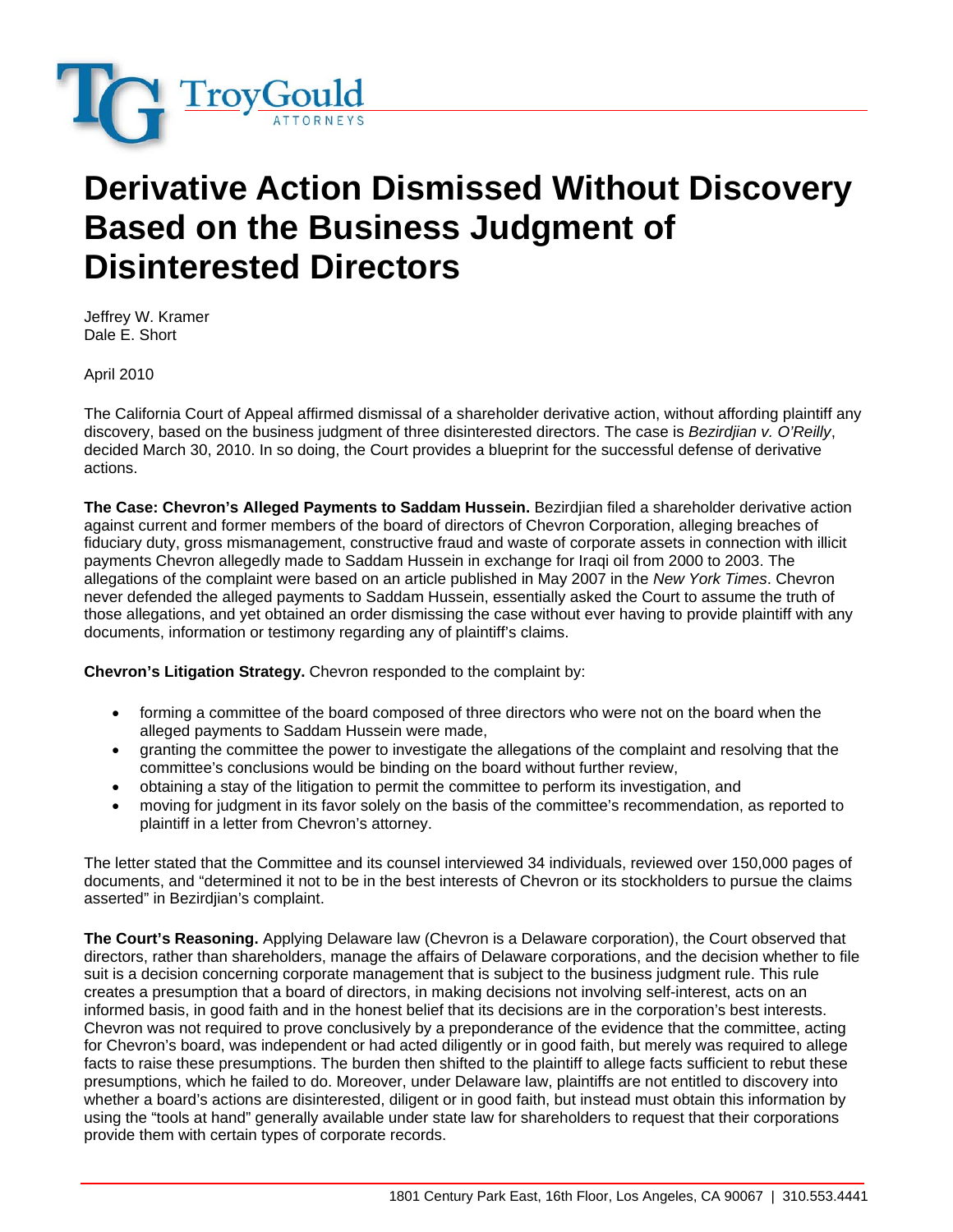

## **Derivative Action Dismissed Without Discovery Based on the Business Judgment of Disinterested Directors**

Jeffrey W. Kramer Dale E. Short

April 2010

The California Court of Appeal affirmed dismissal of a shareholder derivative action, without affording plaintiff any discovery, based on the business judgment of three disinterested directors. The case is *Bezirdjian v. O'Reilly*, decided March 30, 2010. In so doing, the Court provides a blueprint for the successful defense of derivative actions.

**The Case: Chevron's Alleged Payments to Saddam Hussein.** Bezirdjian filed a shareholder derivative action against current and former members of the board of directors of Chevron Corporation, alleging breaches of fiduciary duty, gross mismanagement, constructive fraud and waste of corporate assets in connection with illicit payments Chevron allegedly made to Saddam Hussein in exchange for Iraqi oil from 2000 to 2003. The allegations of the complaint were based on an article published in May 2007 in the *New York Times*. Chevron never defended the alleged payments to Saddam Hussein, essentially asked the Court to assume the truth of those allegations, and yet obtained an order dismissing the case without ever having to provide plaintiff with any documents, information or testimony regarding any of plaintiff's claims.

**Chevron's Litigation Strategy.** Chevron responded to the complaint by:

- forming a committee of the board composed of three directors who were not on the board when the alleged payments to Saddam Hussein were made,
- granting the committee the power to investigate the allegations of the complaint and resolving that the committee's conclusions would be binding on the board without further review,
- obtaining a stay of the litigation to permit the committee to perform its investigation, and
- moving for judgment in its favor solely on the basis of the committee's recommendation, as reported to plaintiff in a letter from Chevron's attorney.

The letter stated that the Committee and its counsel interviewed 34 individuals, reviewed over 150,000 pages of documents, and "determined it not to be in the best interests of Chevron or its stockholders to pursue the claims asserted" in Bezirdjian's complaint.

**The Court's Reasoning.** Applying Delaware law (Chevron is a Delaware corporation), the Court observed that directors, rather than shareholders, manage the affairs of Delaware corporations, and the decision whether to file suit is a decision concerning corporate management that is subject to the business judgment rule. This rule creates a presumption that a board of directors, in making decisions not involving self-interest, acts on an informed basis, in good faith and in the honest belief that its decisions are in the corporation's best interests. Chevron was not required to prove conclusively by a preponderance of the evidence that the committee, acting for Chevron's board, was independent or had acted diligently or in good faith, but merely was required to allege facts to raise these presumptions. The burden then shifted to the plaintiff to allege facts sufficient to rebut these presumptions, which he failed to do. Moreover, under Delaware law, plaintiffs are not entitled to discovery into whether a board's actions are disinterested, diligent or in good faith, but instead must obtain this information by using the "tools at hand" generally available under state law for shareholders to request that their corporations provide them with certain types of corporate records.